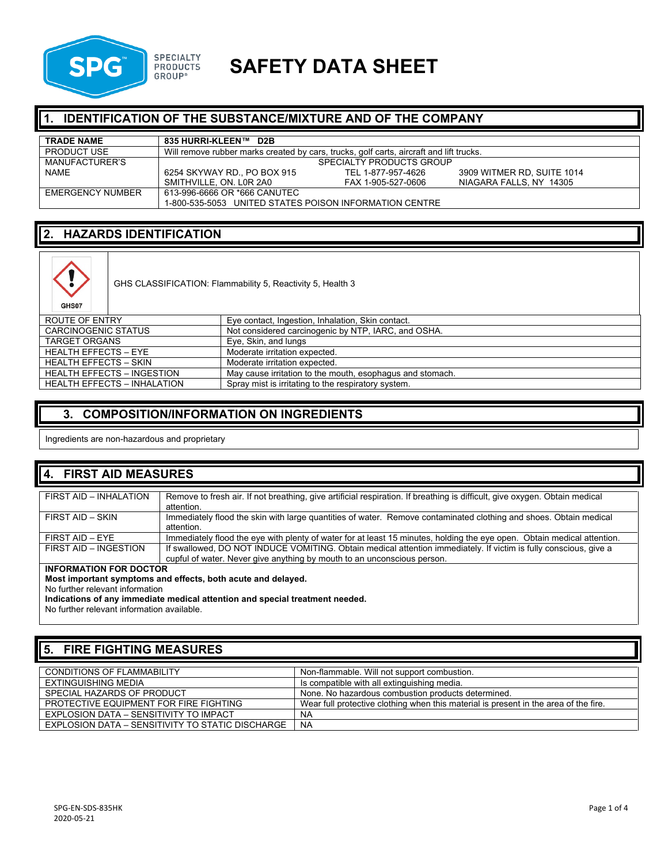

# **SAFETY DATA SHEET**

# **1. IDENTIFICATION OF THE SUBSTANCE/MIXTURE AND OF THE COMPANY**

| <b>TRADE NAME</b>  | 835 HURRI-KLEEN™ D2B                                                                    |                    |                            |
|--------------------|-----------------------------------------------------------------------------------------|--------------------|----------------------------|
| <b>PRODUCT USE</b> | Will remove rubber marks created by cars, trucks, golf carts, aircraft and lift trucks. |                    |                            |
| MANUFACTURER'S     | SPECIALTY PRODUCTS GROUP                                                                |                    |                            |
| <b>NAME</b>        | 6254 SKYWAY RD., PO BOX 915                                                             | TEL 1-877-957-4626 | 3909 WITMER RD, SUITE 1014 |
|                    | SMITHVILLE, ON. L0R 2A0                                                                 | FAX 1-905-527-0606 | NIAGARA FALLS, NY 14305    |
| EMERGENCY NUMBER   | 613-996-6666 OR *666 CANUTEC                                                            |                    |                            |
|                    | 1-800-535-5053 UNITED STATES POISON INFORMATION CENTRE                                  |                    |                            |

## **2. HAZARDS IDENTIFICATION**



GHS CLASSIFICATION: Flammability 5, Reactivity 5, Health 3

| ROUTE OF ENTRY                     | Eye contact, Ingestion, Inhalation, Skin contact.         |
|------------------------------------|-----------------------------------------------------------|
| CARCINOGENIC STATUS                | Not considered carcinogenic by NTP, IARC, and OSHA.       |
| TARGET ORGANS                      | Eye, Skin, and lungs                                      |
| HEALTH EFFECTS – EYE               | Moderate irritation expected.                             |
| HEALTH EFFECTS – SKIN              | Moderate irritation expected.                             |
| <b>HEALTH EFFECTS - INGESTION</b>  | May cause irritation to the mouth, esophagus and stomach. |
| <b>HEALTH EFFECTS - INHALATION</b> | Spray mist is irritating to the respiratory system.       |

### **3. COMPOSITION/INFORMATION ON INGREDIENTS**

Ingredients are non-hazardous and proprietary

### **4. FIRST AID MEASURES**

| FIRST AID - INHALATION | Remove to fresh air. If not breathing, give artificial respiration. If breathing is difficult, give oxygen. Obtain medical |
|------------------------|----------------------------------------------------------------------------------------------------------------------------|
|                        | attention.                                                                                                                 |
| FIRST AID – SKIN       | Immediately flood the skin with large quantities of water. Remove contaminated clothing and shoes. Obtain medical          |
|                        | attention.                                                                                                                 |
| FIRST AID - EYE        | Immediately flood the eye with plenty of water for at least 15 minutes, holding the eye open. Obtain medical attention.    |
| FIRST AID - INGESTION  | If swallowed, DO NOT INDUCE VOMITING. Obtain medical attention immediately. If victim is fully conscious, give a           |
|                        | cupful of water. Never give anything by mouth to an unconscious person.                                                    |

#### **INFORMATION FOR DOCTOR**

**Most important symptoms and effects, both acute and delayed.**

No further relevant information

**Indications of any immediate medical attention and special treatment needed.**

No further relevant information available.

# **5. FIRE FIGHTING MEASURES**

| <b>CONDITIONS OF FLAMMABILITY</b>                | Non-flammable. Will not support combustion.                                          |
|--------------------------------------------------|--------------------------------------------------------------------------------------|
| EXTINGUISHING MEDIA                              | Is compatible with all extinguishing media.                                          |
| SPECIAL HAZARDS OF PRODUCT                       | None. No hazardous combustion products determined.                                   |
| PROTECTIVE EQUIPMENT FOR FIRE FIGHTING           | Wear full protective clothing when this material is present in the area of the fire. |
| <b>EXPLOSION DATA - SENSITIVITY TO IMPACT</b>    | NΑ                                                                                   |
| EXPLOSION DATA – SENSITIVITY TO STATIC DISCHARGE | <b>NA</b>                                                                            |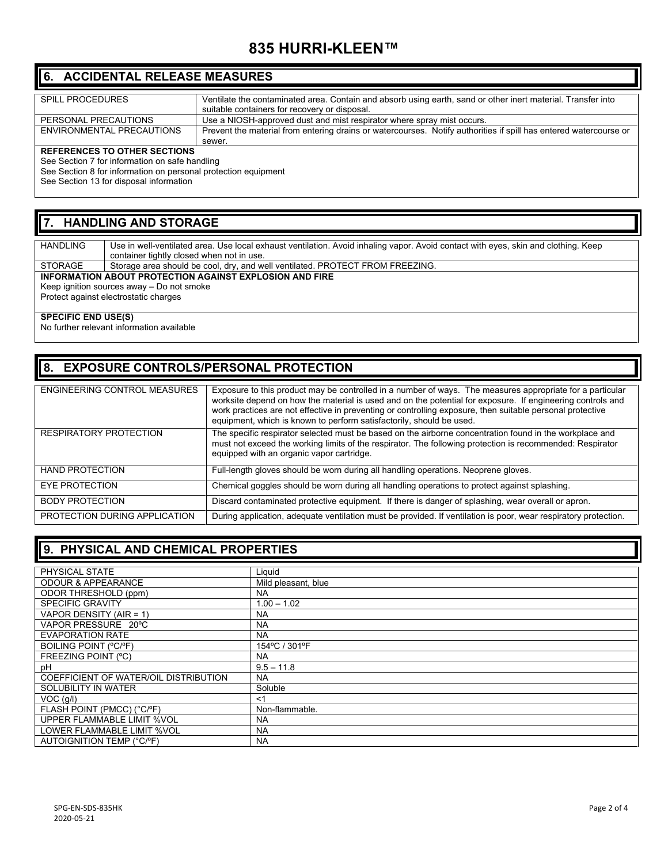# **835 HURRI-KLEEN™**

# **6. ACCIDENTAL RELEASE MEASURES**

| <b>SPILL PROCEDURES</b>             | Ventilate the contaminated area. Contain and absorb using earth, sand or other inert material. Transfer into      |  |
|-------------------------------------|-------------------------------------------------------------------------------------------------------------------|--|
|                                     | suitable containers for recovery or disposal.                                                                     |  |
| PERSONAL PRECAUTIONS                | Use a NIOSH-approved dust and mist respirator where spray mist occurs.                                            |  |
| ENVIRONMENTAL PRECAUTIONS           | Prevent the material from entering drains or watercourses. Notify authorities if spill has entered watercourse or |  |
|                                     | sewer.                                                                                                            |  |
| <b>REFERENCES TO OTHER SECTIONS</b> |                                                                                                                   |  |

#### See Section 7 for information on safe handling

See Section 8 for information on personal protection equipment

See Section 13 for disposal information

### **7. HANDLING AND STORAGE**

HANDLING | Use in well-ventilated area. Use local exhaust ventilation. Avoid inhaling vapor. Avoid contact with eyes, skin and clothing. Keep container tightly closed when not in use. STORAGE Storage area should be cool, dry, and well ventilated. PROTECT FROM FREEZING. **INFORMATION ABOUT PROTECTION AGAINST EXPLOSION AND FIRE** Keep ignition sources away – Do not smoke Protect against electrostatic charges

#### **SPECIFIC END USE(S)**

No further relevant information available

### **8. EXPOSURE CONTROLS/PERSONAL PROTECTION**

| ENGINEERING CONTROL MEASURES  | Exposure to this product may be controlled in a number of ways. The measures appropriate for a particular<br>worksite depend on how the material is used and on the potential for exposure. If engineering controls and<br>work practices are not effective in preventing or controlling exposure, then suitable personal protective<br>equipment, which is known to perform satisfactorily, should be used. |
|-------------------------------|--------------------------------------------------------------------------------------------------------------------------------------------------------------------------------------------------------------------------------------------------------------------------------------------------------------------------------------------------------------------------------------------------------------|
| RESPIRATORY PROTECTION        | The specific respirator selected must be based on the airborne concentration found in the workplace and<br>must not exceed the working limits of the respirator. The following protection is recommended: Respirator<br>equipped with an organic vapor cartridge.                                                                                                                                            |
| <b>HAND PROTECTION</b>        | Full-length gloves should be worn during all handling operations. Neoprene gloves.                                                                                                                                                                                                                                                                                                                           |
| EYE PROTECTION                | Chemical goggles should be worn during all handling operations to protect against splashing.                                                                                                                                                                                                                                                                                                                 |
| <b>BODY PROTECTION</b>        | Discard contaminated protective equipment. If there is danger of splashing, wear overall or apron.                                                                                                                                                                                                                                                                                                           |
| PROTECTION DURING APPLICATION | During application, adequate ventilation must be provided. If ventilation is poor, wear respiratory protection.                                                                                                                                                                                                                                                                                              |

### **9. PHYSICAL AND CHEMICAL PROPERTIES**

| PHYSICAL STATE                        | Liauid              |
|---------------------------------------|---------------------|
| <b>ODOUR &amp; APPEARANCE</b>         | Mild pleasant, blue |
| <b>ODOR THRESHOLD (ppm)</b>           | NA.                 |
| <b>SPECIFIC GRAVITY</b>               | $1.00 - 1.02$       |
| VAPOR DENSITY (AIR = 1)               | <b>NA</b>           |
| VAPOR PRESSURE 20°C                   | <b>NA</b>           |
| <b>EVAPORATION RATE</b>               | <b>NA</b>           |
| <b>BOILING POINT (°C/°F)</b>          | 154°C / 301°F       |
| FREEZING POINT (°C)                   | <b>NA</b>           |
| рH                                    | $9.5 - 11.8$        |
| COEFFICIENT OF WATER/OIL DISTRIBUTION | NA.                 |
| SOLUBILITY IN WATER                   | Soluble             |
| $VOC$ ( $q/l$ )                       | ≺1                  |
| FLASH POINT (PMCC) (°C/°F)            | Non-flammable.      |
| UPPER FLAMMABLE LIMIT %VOL            | <b>NA</b>           |
| <b>LOWER FLAMMABLE LIMIT %VOL</b>     | <b>NA</b>           |
| AUTOIGNITION TEMP (°C/°F)             | <b>NA</b>           |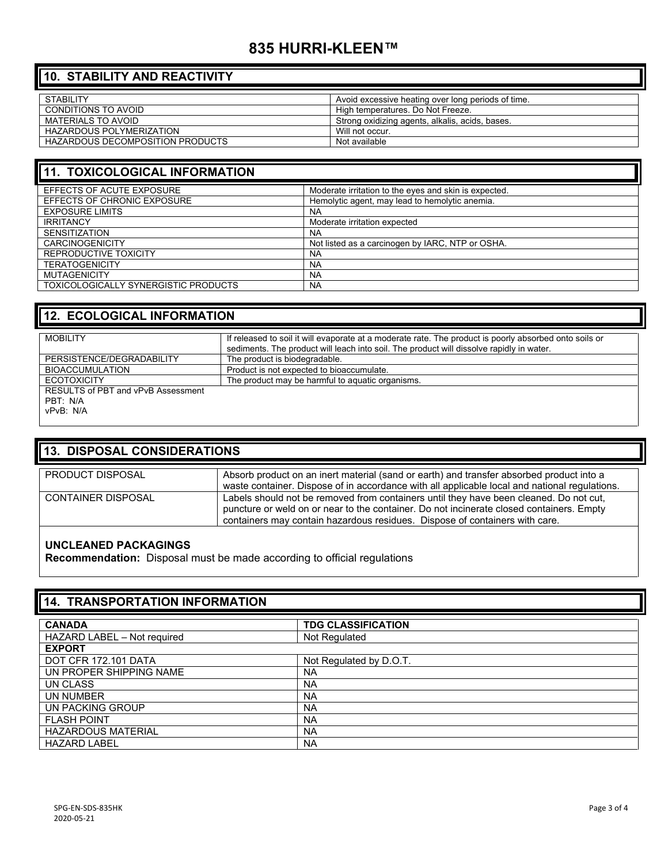# **835 HURRI-KLEEN™**

# **10. STABILITY AND REACTIVITY**

| <b>STABILITY</b>                 | Avoid excessive heating over long periods of time. |
|----------------------------------|----------------------------------------------------|
| CONDITIONS TO AVOID              | High temperatures. Do Not Freeze.                  |
| MATERIALS TO AVOID               | Strong oxidizing agents, alkalis, acids, bases.    |
| <b>HAZARDOUS POLYMERIZATION</b>  | Will not occur.                                    |
| HAZARDOUS DECOMPOSITION PRODUCTS | Not available                                      |

### **11. TOXICOLOGICAL INFORMATION**

| EFFECTS OF ACUTE EXPOSURE                   | Moderate irritation to the eyes and skin is expected. |
|---------------------------------------------|-------------------------------------------------------|
| EFFECTS OF CHRONIC EXPOSURE                 | Hemolytic agent, may lead to hemolytic anemia.        |
| <b>EXPOSURE LIMITS</b>                      | <b>NA</b>                                             |
| <b>IRRITANCY</b>                            | Moderate irritation expected                          |
| <b>SENSITIZATION</b>                        | <b>NA</b>                                             |
| <b>CARCINOGENICITY</b>                      | Not listed as a carcinogen by IARC, NTP or OSHA.      |
| REPRODUCTIVE TOXICITY                       | <b>NA</b>                                             |
| <b>TERATOGENICITY</b>                       | NA                                                    |
| <b>MUTAGENICITY</b>                         | <b>NA</b>                                             |
| <b>TOXICOLOGICALLY SYNERGISTIC PRODUCTS</b> | <b>NA</b>                                             |

#### **12. ECOLOGICAL INFORMATION**

| <b>MOBILITY</b>                    | If released to soil it will evaporate at a moderate rate. The product is poorly absorbed onto soils or |
|------------------------------------|--------------------------------------------------------------------------------------------------------|
|                                    | sediments. The product will leach into soil. The product will dissolve rapidly in water.               |
| PERSISTENCE/DEGRADABILITY          | The product is biodegradable.                                                                          |
| <b>BIOACCUMULATION</b>             | Product is not expected to bioaccumulate.                                                              |
| <b>ECOTOXICITY</b>                 | The product may be harmful to aquatic organisms.                                                       |
| RESULTS of PBT and vPvB Assessment |                                                                                                        |
| PBT: N/A                           |                                                                                                        |
| vPvB: N/A                          |                                                                                                        |
|                                    |                                                                                                        |

### **13. DISPOSAL CONSIDERATIONS** PRODUCT DISPOSAL Absorb product on an inert material (sand or earth) and transfer absorbed product into a waste container. Dispose of in accordance with all applicable local and national regulations. CONTAINER DISPOSAL Labels should not be removed from containers until they have been cleaned. Do not cut, puncture or weld on or near to the container. Do not incinerate closed containers. Empty containers may contain hazardous residues. Dispose of containers with care.

#### **UNCLEANED PACKAGINGS**

**Recommendation:** Disposal must be made according to official regulations

#### **14. TRANSPORTATION INFORMATION CANADA TDG CLASSIFICATION** HAZARD LABEL - Not required **EXPORT** DOT CFR 172.101 DATA Not Regulated by D.O.T. UN PROPER SHIPPING NAME UN CLASS NAME | NAME | NAME | NAME | NAME | NAME | NAME | NAME | NAME | NAME | NAME | NAME | NAME | NAME | NAME | NAME | NAME | NAME | NAME | NAME | NAME | NAME | NAME | NAME | NAME | NAME | NAME | NAME | NAME | NAME | NAM UN NUMBER NA UN PACKING GROUP NAME NAME NAME NAME ON THE STATE OF THE STATE OF THE STATE OF THE STATE OF THE STATE OF THE STATE OF THE STATE OF THE STATE OF THE STATE OF THE STATE OF THE STATE OF THE STATE OF THE STATE OF THE STATE OF FLASH POINT NA HAZARDOUS MATERIAL NA **HAZARD LABEL**